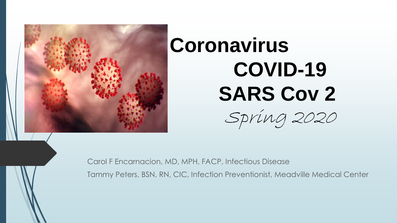

# **Coronavirus COVID-19 SARS Cov 2**



Carol F Encarnacion, MD, MPH, FACP, Infectious Disease

Tammy Peters, BSN, RN, CIC, Infection Preventionist, Meadville Medical Center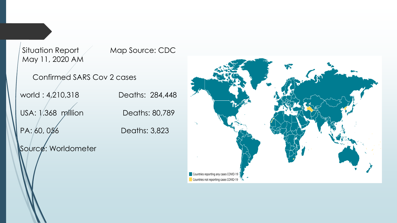Situation Report Map Source: CDC May 11, 2020 AM Confirmed SARS Cov 2 cases world : 4,210,318 Deaths: 284,448 USA: 1.368 million Deaths: 80,789 PA: 60, 056 Deaths: 3,823 Source: Worldometer Countries reporting any cases COVID-19

Countries not reporting cases COVID-19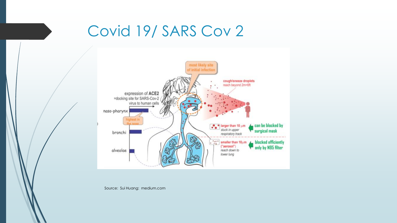#### Covid 19/ SARS Cov 2



Source: Sui Huang: medium.com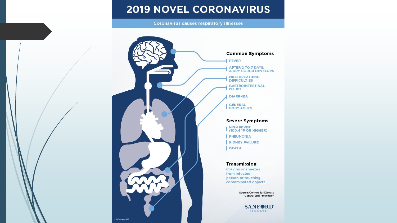#### **2019 NOVEL CORONAVIRUS**

**Coronavirus causes respiratory illnesses** 

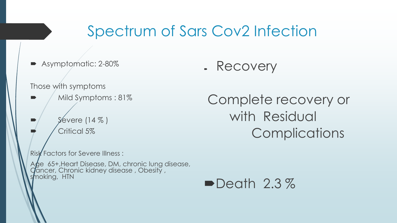#### Spectrum of Sars Cov2 Infection

Asymptomatic: 2-80%

Recovery

#### Those with symptoms

- Mild Symptoms : 81%
- Severe (14 % ) Critical 5%

Complete recovery or with Residual **Complications** 

Risk Factors for Severe Illness :

Age 65+,Heart Disease, DM, chronic lung disease, Cancer, Chronic kidney disease , Obesity , smoking, HTN

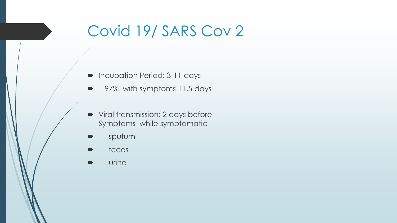### Covid 19/ SARS Cov 2

- **Incubation Period: 3-11 days** 
	- 97% with symptoms 11.5 days
- Viral transmission: 2 days before Symptoms while symptomatic
- sputum
- feces
- **De** urine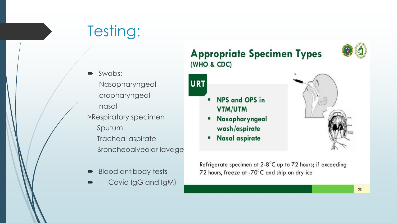## Testing:

- Swabs: Nasopharyngeal oropharyngeal nasal >Respiratory specimen Sputum Tracheal aspirate Broncheoalveolar lavage
- Blood antibody tests
- Covid IgG and IgM)

#### **Appropriate Specimen Types** (WHO & CDC)

- NPS and OPS in VTM/UTM
- Nasopharyngeal ٠ wash/aspirate
- **Nasal aspirate** ٠

URT

٠

Refrigerate specimen at 2-8°C up to 72 hours; if exceeding 72 hours, freeze at -70°C and ship on dry ice

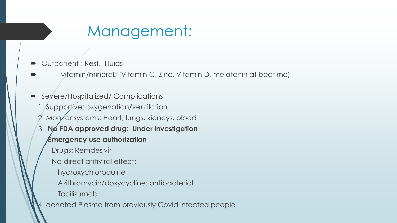#### Management:

- Outpatient : Rest, Fluids
- vitamin/minerals (Vitamin C, Zinc, Vitamin D, melatonin at bedtime)
- Severe/Hospitalized/ Complications 1. Supportive: oxygenation/ventilation 2. Monifor systems: Heart, lungs, kidneys, blood 3. **No FDA approved drug: Under investigation Emergency use authorization**  Drugs: Remdesivir No direct antiviral effect: hydroxychloroquine Azithromycin/doxycycline: antibacterial Tocilizumab 4. donated Plasma from previously Covid infected people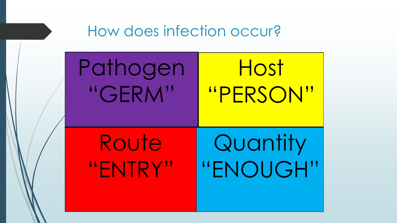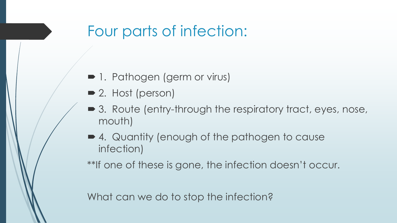#### Four parts of infection:

- 1. Pathogen (germ or virus)
- 2. Host (person)
- 3. Route (entry-through the respiratory tract, eyes, nose, mouth)
- 4. Quantity (enough of the pathogen to cause infection)

\*\*If one of these is gone, the infection doesn't occur.

What can we do to stop the infection?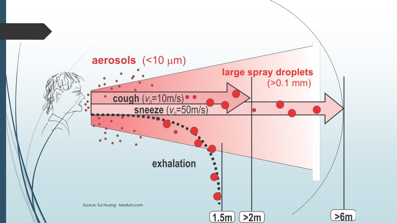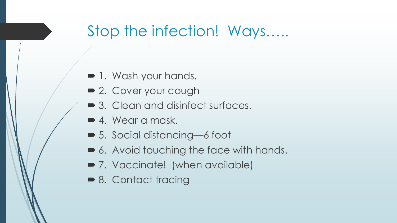#### Stop the infection! Ways…..

- $\blacksquare$  1. Wash your hands.
- 2. Cover your cough
- 3. Clean and disinfect surfaces.
- 4. Wear a mask.
- 5. Social distancing—6 foot
- 6. Avoid touching the face with hands.
- 7. Vaccinate! (when available)
- 8. Contact tracing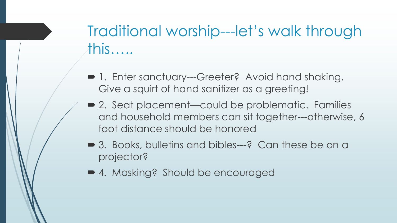### Traditional worship---let's walk through this…..

- 1. Enter sanctuary---Greeter? Avoid hand shaking. Give a squirt of hand sanitizer as a greeting!
- 2. Seat placement—could be problematic. Families and household members can sit together---otherwise, 6 foot distance should be honored
- 3. Books, bulletins and bibles—–? Can these be on a projector?
- 4. Masking? Should be encouraged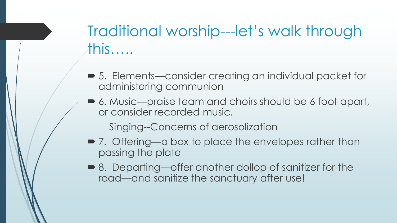## Traditional worship---let's walk through this…..

- 5. Elements—consider creating an individual packet for administering communion
- 6. Music—praise team and choirs should be 6 foot apart, or consider recorded music.

Singing--Concerns of aerosolization

- 7. Offering—a box to place the envelopes rather than passing the plate
- 8. Departing—offer another dollop of sanitizer for the road—and sanitize the sanctuary after use!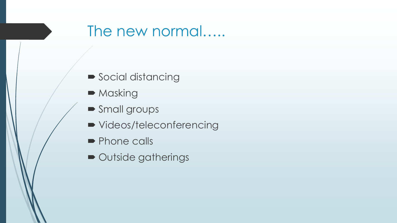#### The new normal…..

- Social distancing
- Masking
- Small groups
- videos/teleconferencing
- Phone calls
- Outside gatherings